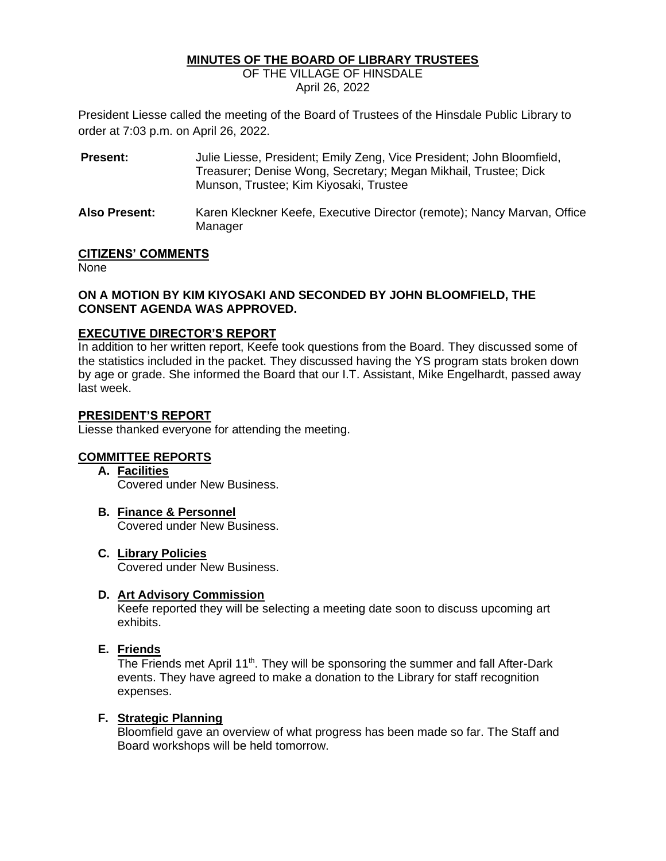### **MINUTES OF THE BOARD OF LIBRARY TRUSTEES**

OF THE VILLAGE OF HINSDALE April 26, 2022

President Liesse called the meeting of the Board of Trustees of the Hinsdale Public Library to order at 7:03 p.m. on April 26, 2022.

**Present:** Julie Liesse, President; Emily Zeng, Vice President; John Bloomfield, Treasurer; Denise Wong, Secretary; Megan Mikhail, Trustee; Dick Munson, Trustee; Kim Kiyosaki, Trustee **Also Present:** Karen Kleckner Keefe, Executive Director (remote); Nancy Marvan, Office

## **CITIZENS' COMMENTS**

None

### **ON A MOTION BY KIM KIYOSAKI AND SECONDED BY JOHN BLOOMFIELD, THE CONSENT AGENDA WAS APPROVED.**

### **EXECUTIVE DIRECTOR'S REPORT**

In addition to her written report, Keefe took questions from the Board. They discussed some of the statistics included in the packet. They discussed having the YS program stats broken down by age or grade. She informed the Board that our I.T. Assistant, Mike Engelhardt, passed away last week.

### **PRESIDENT'S REPORT**

Liesse thanked everyone for attending the meeting.

Manager

## **COMMITTEE REPORTS**

**A. Facilities**

Covered under New Business.

- **B. Finance & Personnel** Covered under New Business.
- **C. Library Policies** Covered under New Business.

### **D. Art Advisory Commission**

Keefe reported they will be selecting a meeting date soon to discuss upcoming art exhibits.

### **E. Friends**

The Friends met April 11<sup>th</sup>. They will be sponsoring the summer and fall After-Dark events. They have agreed to make a donation to the Library for staff recognition expenses.

### **F. Strategic Planning**

Bloomfield gave an overview of what progress has been made so far. The Staff and Board workshops will be held tomorrow.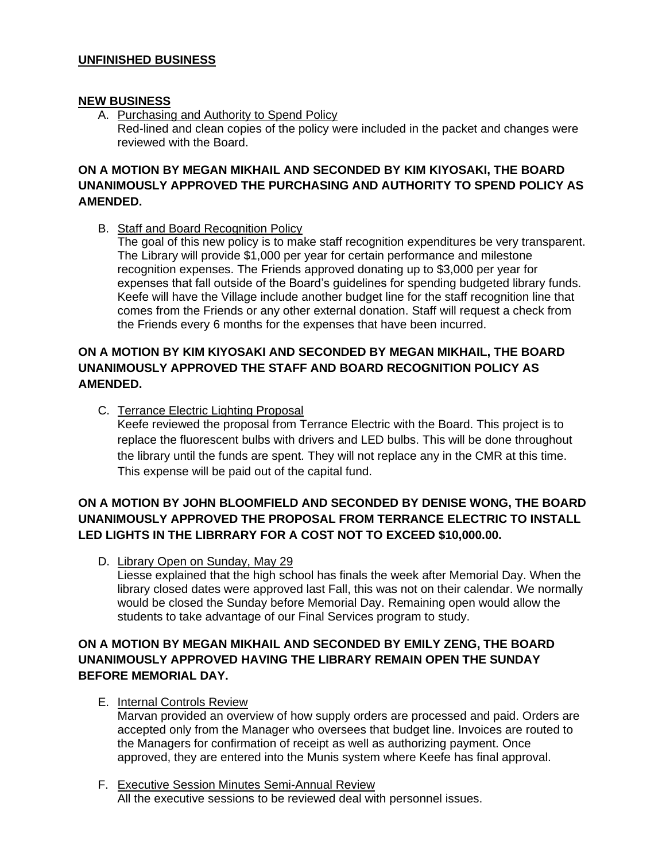## **UNFINISHED BUSINESS**

### **NEW BUSINESS**

A. Purchasing and Authority to Spend Policy Red-lined and clean copies of the policy were included in the packet and changes were reviewed with the Board.

# **ON A MOTION BY MEGAN MIKHAIL AND SECONDED BY KIM KIYOSAKI, THE BOARD UNANIMOUSLY APPROVED THE PURCHASING AND AUTHORITY TO SPEND POLICY AS AMENDED.**

B. Staff and Board Recognition Policy

The goal of this new policy is to make staff recognition expenditures be very transparent. The Library will provide \$1,000 per year for certain performance and milestone recognition expenses. The Friends approved donating up to \$3,000 per year for expenses that fall outside of the Board's guidelines for spending budgeted library funds. Keefe will have the Village include another budget line for the staff recognition line that comes from the Friends or any other external donation. Staff will request a check from the Friends every 6 months for the expenses that have been incurred.

# **ON A MOTION BY KIM KIYOSAKI AND SECONDED BY MEGAN MIKHAIL, THE BOARD UNANIMOUSLY APPROVED THE STAFF AND BOARD RECOGNITION POLICY AS AMENDED.**

C. Terrance Electric Lighting Proposal Keefe reviewed the proposal from Terrance Electric with the Board. This project is to replace the fluorescent bulbs with drivers and LED bulbs. This will be done throughout the library until the funds are spent. They will not replace any in the CMR at this time. This expense will be paid out of the capital fund.

# **ON A MOTION BY JOHN BLOOMFIELD AND SECONDED BY DENISE WONG, THE BOARD UNANIMOUSLY APPROVED THE PROPOSAL FROM TERRANCE ELECTRIC TO INSTALL LED LIGHTS IN THE LIBRRARY FOR A COST NOT TO EXCEED \$10,000.00.**

D. Library Open on Sunday, May 29

Liesse explained that the high school has finals the week after Memorial Day. When the library closed dates were approved last Fall, this was not on their calendar. We normally would be closed the Sunday before Memorial Day. Remaining open would allow the students to take advantage of our Final Services program to study.

# **ON A MOTION BY MEGAN MIKHAIL AND SECONDED BY EMILY ZENG, THE BOARD UNANIMOUSLY APPROVED HAVING THE LIBRARY REMAIN OPEN THE SUNDAY BEFORE MEMORIAL DAY.**

E. Internal Controls Review

Marvan provided an overview of how supply orders are processed and paid. Orders are accepted only from the Manager who oversees that budget line. Invoices are routed to the Managers for confirmation of receipt as well as authorizing payment. Once approved, they are entered into the Munis system where Keefe has final approval.

F. Executive Session Minutes Semi-Annual Review All the executive sessions to be reviewed deal with personnel issues.